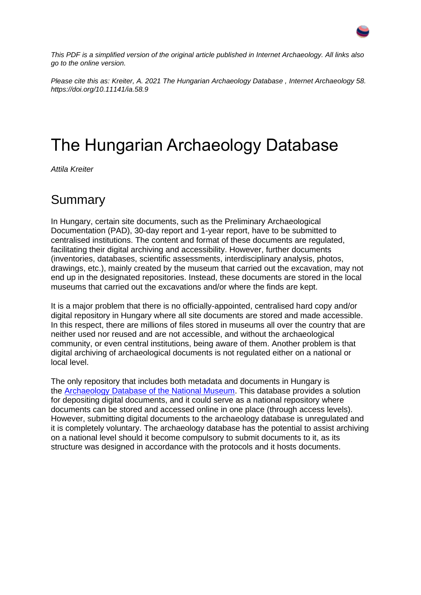

*This PDF is a simplified version of the original article published in Internet Archaeology. All links also go to the online version.*

*Please cite this as: Kreiter, A. 2021 The Hungarian Archaeology Database , Internet Archaeology 58. https://doi.org/10.11141/ia.58.9*

### The Hungarian Archaeology Database

*Attila Kreiter*

#### Summary

In Hungary, certain site documents, such as the Preliminary Archaeological Documentation (PAD), 30-day report and 1-year report, have to be submitted to centralised institutions. The content and format of these documents are regulated, facilitating their digital archiving and accessibility. However, further documents (inventories, databases, scientific assessments, interdisciplinary analysis, photos, drawings, etc.), mainly created by the museum that carried out the excavation, may not end up in the designated repositories. Instead, these documents are stored in the local museums that carried out the excavations and/or where the finds are kept.

It is a major problem that there is no officially-appointed, centralised hard copy and/or digital repository in Hungary where all site documents are stored and made accessible. In this respect, there are millions of files stored in museums all over the country that are neither used nor reused and are not accessible, and without the archaeological community, or even central institutions, being aware of them. Another problem is that digital archiving of archaeological documents is not regulated either on a national or local level.

The only repository that includes both metadata and documents in Hungary is the [Archaeology Database of the National Museum.](https://archeodatabase.hnm.hu/en) This database provides a solution for depositing digital documents, and it could serve as a national repository where documents can be stored and accessed online in one place (through access levels). However, submitting digital documents to the archaeology database is unregulated and it is completely voluntary. The archaeology database has the potential to assist archiving on a national level should it become compulsory to submit documents to it, as its structure was designed in accordance with the protocols and it hosts documents.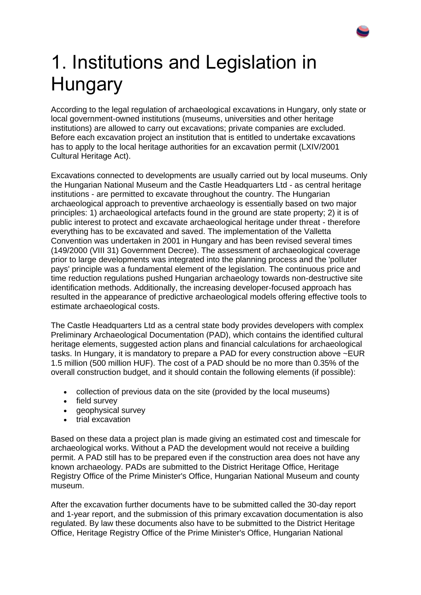# 1. Institutions and Legislation in **Hungary**

According to the legal regulation of archaeological excavations in Hungary, only state or local government-owned institutions (museums, universities and other heritage institutions) are allowed to carry out excavations; private companies are excluded. Before each excavation project an institution that is entitled to undertake excavations has to apply to the local heritage authorities for an excavation permit (LXIV/2001 Cultural Heritage Act).

Excavations connected to developments are usually carried out by local museums. Only the Hungarian National Museum and the Castle Headquarters Ltd - as central heritage institutions - are permitted to excavate throughout the country. The Hungarian archaeological approach to preventive archaeology is essentially based on two major principles: 1) archaeological artefacts found in the ground are state property; 2) it is of public interest to protect and excavate archaeological heritage under threat - therefore everything has to be excavated and saved. The implementation of the Valletta Convention was undertaken in 2001 in Hungary and has been revised several times (149/2000 (VIII 31) Government Decree). The assessment of archaeological coverage prior to large developments was integrated into the planning process and the 'polluter pays' principle was a fundamental element of the legislation. The continuous price and time reduction regulations pushed Hungarian archaeology towards non-destructive site identification methods. Additionally, the increasing developer-focused approach has resulted in the appearance of predictive archaeological models offering effective tools to estimate archaeological costs.

The Castle Headquarters Ltd as a central state body provides developers with complex Preliminary Archaeological Documentation (PAD), which contains the identified cultural heritage elements, suggested action plans and financial calculations for archaeological tasks. In Hungary, it is mandatory to prepare a PAD for every construction above ~EUR 1.5 million (500 million HUF). The cost of a PAD should be no more than 0.35% of the overall construction budget, and it should contain the following elements (if possible):

- collection of previous data on the site (provided by the local museums)
- field survey
- geophysical survey
- trial excavation

Based on these data a project plan is made giving an estimated cost and timescale for archaeological works. Without a PAD the development would not receive a building permit. A PAD still has to be prepared even if the construction area does not have any known archaeology. PADs are submitted to the District Heritage Office, Heritage Registry Office of the Prime Minister's Office, Hungarian National Museum and county museum.

After the excavation further documents have to be submitted called the 30-day report and 1-year report, and the submission of this primary excavation documentation is also regulated. By law these documents also have to be submitted to the District Heritage Office, Heritage Registry Office of the Prime Minister's Office, Hungarian National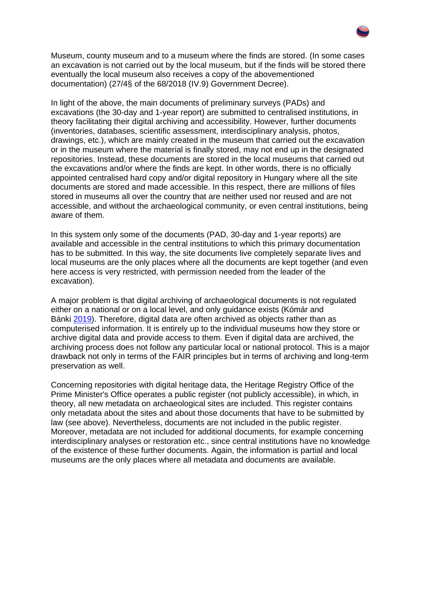

Museum, county museum and to a museum where the finds are stored. (In some cases an excavation is not carried out by the local museum, but if the finds will be stored there eventually the local museum also receives a copy of the abovementioned documentation) (27/4§ of the 68/2018 (IV.9) Government Decree).

In light of the above, the main documents of preliminary surveys (PADs) and excavations (the 30-day and 1-year report) are submitted to centralised institutions, in theory facilitating their digital archiving and accessibility. However, further documents (inventories, databases, scientific assessment, interdisciplinary analysis, photos, drawings, etc.), which are mainly created in the museum that carried out the excavation or in the museum where the material is finally stored, may not end up in the designated repositories. Instead, these documents are stored in the local museums that carried out the excavations and/or where the finds are kept. In other words, there is no officially appointed centralised hard copy and/or digital repository in Hungary where all the site documents are stored and made accessible. In this respect, there are millions of files stored in museums all over the country that are neither used nor reused and are not accessible, and without the archaeological community, or even central institutions, being aware of them.

In this system only some of the documents (PAD, 30-day and 1-year reports) are available and accessible in the central institutions to which this primary documentation has to be submitted. In this way, the site documents live completely separate lives and local museums are the only places where all the documents are kept together (and even here access is very restricted, with permission needed from the leader of the excavation).

A major problem is that digital archiving of archaeological documents is not regulated either on a national or on a local level, and only guidance exists (Kómár and Bánki [2019\)](https://intarch.ac.uk/journal/issue58/9hun/index.html#biblio). Therefore, digital data are often archived as objects rather than as computerised information. It is entirely up to the individual museums how they store or archive digital data and provide access to them. Even if digital data are archived, the archiving process does not follow any particular local or national protocol. This is a major drawback not only in terms of the FAIR principles but in terms of archiving and long-term preservation as well.

Concerning repositories with digital heritage data, the Heritage Registry Office of the Prime Minister's Office operates a public register (not publicly accessible), in which, in theory, all new metadata on archaeological sites are included. This register contains only metadata about the sites and about those documents that have to be submitted by law (see above). Nevertheless, documents are not included in the public register. Moreover, metadata are not included for additional documents, for example concerning interdisciplinary analyses or restoration etc., since central institutions have no knowledge of the existence of these further documents. Again, the information is partial and local museums are the only places where all metadata and documents are available.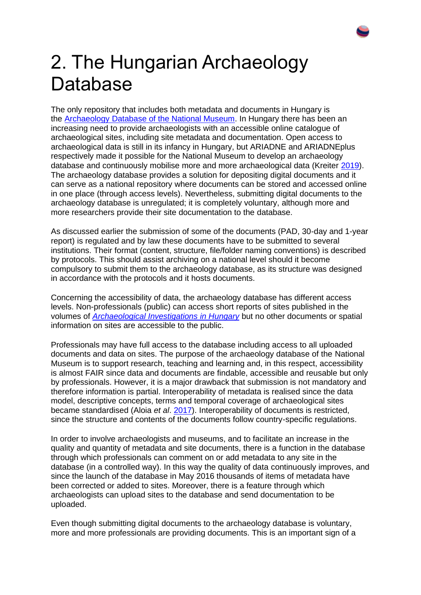

# 2. The Hungarian Archaeology Database

The only repository that includes both metadata and documents in Hungary is the [Archaeology Database of the National Museum.](https://archeodatabase.hnm.hu/en) In Hungary there has been an increasing need to provide archaeologists with an accessible online catalogue of archaeological sites, including site metadata and documentation. Open access to archaeological data is still in its infancy in Hungary, but ARIADNE and ARIADNEplus respectively made it possible for the National Museum to develop an archaeology database and continuously mobilise more and more archaeological data (Kreiter [2019\)](https://intarch.ac.uk/journal/issue58/9hun/index.html#biblio). The archaeology database provides a solution for depositing digital documents and it can serve as a national repository where documents can be stored and accessed online in one place (through access levels). Nevertheless, submitting digital documents to the archaeology database is unregulated; it is completely voluntary, although more and more researchers provide their site documentation to the database.

As discussed earlier the submission of some of the documents (PAD, 30-day and 1-year report) is regulated and by law these documents have to be submitted to several institutions. Their format (content, structure, file/folder naming conventions) is described by protocols. This should assist archiving on a national level should it become compulsory to submit them to the archaeology database, as its structure was designed in accordance with the protocols and it hosts documents.

Concerning the accessibility of data, the archaeology database has different access levels. Non-professionals (public) can access short reports of sites published in the volumes of *[Archaeological Investigations in Hungary](https://archeodatabase.hnm.hu/en/rkm)* but no other documents or spatial information on sites are accessible to the public.

Professionals may have full access to the database including access to all uploaded documents and data on sites. The purpose of the archaeology database of the National Museum is to support research, teaching and learning and, in this respect, accessibility is almost FAIR since data and documents are findable, accessible and reusable but only by professionals. However, it is a major drawback that submission is not mandatory and therefore information is partial. Interoperability of metadata is realised since the data model, descriptive concepts, terms and temporal coverage of archaeological sites became standardised (Aloia *et al*. [2017\)](https://intarch.ac.uk/journal/issue58/9hun/index.html#biblio). Interoperability of documents is restricted, since the structure and contents of the documents follow country-specific regulations.

In order to involve archaeologists and museums, and to facilitate an increase in the quality and quantity of metadata and site documents, there is a function in the database through which professionals can comment on or add metadata to any site in the database (in a controlled way). In this way the quality of data continuously improves, and since the launch of the database in May 2016 thousands of items of metadata have been corrected or added to sites. Moreover, there is a feature through which archaeologists can upload sites to the database and send documentation to be uploaded.

Even though submitting digital documents to the archaeology database is voluntary, more and more professionals are providing documents. This is an important sign of a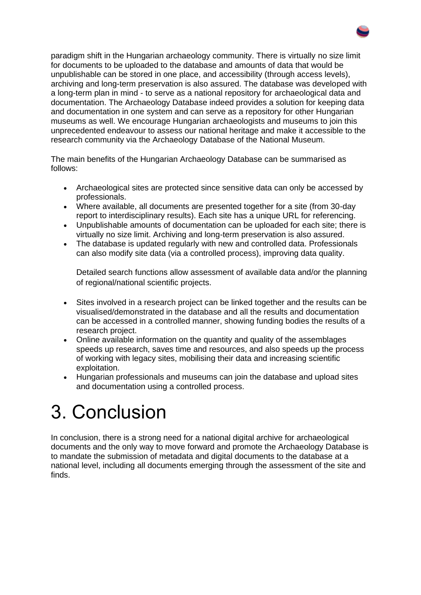paradigm shift in the Hungarian archaeology community. There is virtually no size limit for documents to be uploaded to the database and amounts of data that would be unpublishable can be stored in one place, and accessibility (through access levels), archiving and long-term preservation is also assured. The database was developed with a long-term plan in mind - to serve as a national repository for archaeological data and documentation. The Archaeology Database indeed provides a solution for keeping data and documentation in one system and can serve as a repository for other Hungarian museums as well. We encourage Hungarian archaeologists and museums to join this unprecedented endeavour to assess our national heritage and make it accessible to the research community via the Archaeology Database of the National Museum.

The main benefits of the Hungarian Archaeology Database can be summarised as follows:

- Archaeological sites are protected since sensitive data can only be accessed by professionals.
- Where available, all documents are presented together for a site (from 30-day report to interdisciplinary results). Each site has a unique URL for referencing.
- Unpublishable amounts of documentation can be uploaded for each site; there is virtually no size limit. Archiving and long-term preservation is also assured.
- The database is updated regularly with new and controlled data. Professionals can also modify site data (via a controlled process), improving data quality.

Detailed search functions allow assessment of available data and/or the planning of regional/national scientific projects.

- Sites involved in a research project can be linked together and the results can be visualised/demonstrated in the database and all the results and documentation can be accessed in a controlled manner, showing funding bodies the results of a research project.
- Online available information on the quantity and quality of the assemblages speeds up research, saves time and resources, and also speeds up the process of working with legacy sites, mobilising their data and increasing scientific exploitation.
- Hungarian professionals and museums can join the database and upload sites and documentation using a controlled process.

# 3. Conclusion

In conclusion, there is a strong need for a national digital archive for archaeological documents and the only way to move forward and promote the Archaeology Database is to mandate the submission of metadata and digital documents to the database at a national level, including all documents emerging through the assessment of the site and finds.